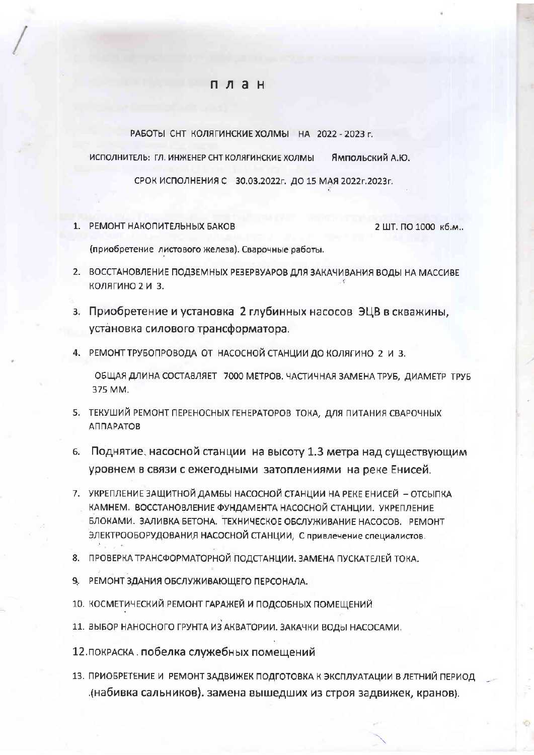## план

РАБОТЫ СНТ КОЛЯГИНСКИЕ ХОЛМЫ НА 2022 - 2023 г.

ИСПОЛНИТЕЛЬ: ГЛ. ИНЖЕНЕР СНТ КОЛЯГИНСКИЕ ХОЛМЫ Ямпольский А.Ю.

СРОК ИСПОЛНЕНИЯ С 30.03.2022г. ДО 15 МАЯ 2022г.2023г.

1. РЕМОНТ НАКОПИТЕЛЬНЫХ БАКОВ

2 ШТ. ПО 1000 кб.м..

Ø5

(приобретение листового железа). Сварочные работы.

- 2. ВОССТАНОВЛЕНИЕ ПОДЗЕМНЫХ РЕЗЕРВУАРОВ ДЛЯ ЗАКАЧИВАНИЯ ВОДЫ НА МАССИВЕ КОЛЯГИНО 2 И 3.
- з. Приобретение и установка 2 глубинных насосов ЭЦВ в скважины, установка силового трансформатора.
- 4. РЕМОНТ ТРУБОПРОВОДА ОТ НАСОСНОЙ СТАНЦИИ ДО КОЛЯГИНО 2 И 3.

ОБЩАЯ ДЛИНА СОСТАВЛЯЕТ 7000 МЕТРОВ. ЧАСТИЧНАЯ ЗАМЕНА ТРУБ, ДИАМЕТР ТРУБ 375 MM.

- 5. ТЕКУШИЙ РЕМОНТ ПЕРЕНОСНЫХ ГЕНЕРАТОРОВ ТОКА, ДЛЯ ПИТАНИЯ СВАРОЧНЫХ ΑΠΠΑΡΑΤΟΒ
- 6. Поднятие, насосной станции на высоту 1.3 метра над существующим уровнем в связи с ежегодными затоплениями на реке Енисей.
- 7. УКРЕПЛЕНИЕ ЗАЩИТНОЙ ДАМБЫ НАСОСНОЙ СТАНЦИИ НА РЕКЕ ЕНИСЕЙ ОТСЫПКА КАМНЕМ. ВОССТАНОВЛЕНИЕ ФУНДАМЕНТА НАСОСНОЙ СТАНЦИИ. УКРЕПЛЕНИЕ БЛОКАМИ. ЗАЛИВКА БЕТОНА. ТЕХНИЧЕСКОЕ ОБСЛУЖИВАНИЕ НАСОСОВ. РЕМОНТ ЭЛЕКТРООБОРУДОВАНИЯ НАСОСНОЙ СТАНЦИИ, С привлечение специалистов.
- 8. ПРОВЕРКА ТРАНСФОРМАТОРНОЙ ПОДСТАНЦИИ. ЗАМЕНА ПУСКАТЕЛЕЙ ТОКА.
- 9. РЕМОНТ ЗДАНИЯ ОБСЛУЖИВАЮЩЕГО ПЕРСОНАЛА.
- 10. КОСМЕТИЧЕСКИЙ РЕМОНТ ГАРАЖЕЙ И ПОДСОБНЫХ ПОМЕЩЕНИЙ
- 11. ВЫБОР НАНОСНОГО ГРУНТА ИЗ АКВАТОРИИ. ЗАКАЧКИ ВОДЫ НАСОСАМИ.
- 12. ПОКРАСКА. ПОбелка служебных помещений
- 13. ПРИОБРЕТЕНИЕ И РЕМОНТ ЗАДВИЖЕК ПОДГОТОВКА К ЭКСПЛУАТАЦИИ В ЛЕТНИЙ ПЕРИОД набивка сальников), замена вышедших из строя задвижек, кранов).